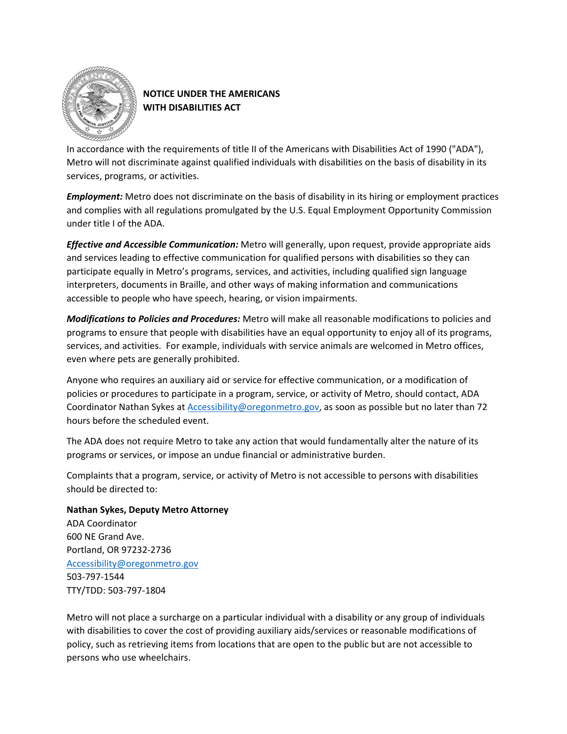

# **NOTICE UNDER THE AMERICANS WITH DISABILITIES ACT**

In accordance with the requirements of title II of the Americans with Disabilities Act of 1990 ("ADA"), Metro will not discriminate against qualified individuals with disabilities on the basis of disability in its services, programs, or activities.

*Employment:* Metro does not discriminate on the basis of disability in its hiring or employment practices and complies with all regulations promulgated by the U.S. Equal Employment Opportunity Commission under title I of the ADA.

*Effective and Accessible Communication:* Metro will generally, upon request, provide appropriate aids and services leading to effective communication for qualified persons with disabilities so they can participate equally in Metro's programs, services, and activities, including qualified sign language interpreters, documents in Braille, and other ways of making information and communications accessible to people who have speech, hearing, or vision impairments.

*Modifications to Policies and Procedures:* Metro will make all reasonable modifications to policies and programs to ensure that people with disabilities have an equal opportunity to enjoy all of its programs, services, and activities. For example, individuals with service animals are welcomed in Metro offices, even where pets are generally prohibited.

Anyone who requires an auxiliary aid or service for effective communication, or a modification of policies or procedures to participate in a program, service, or activity of Metro, should contact, ADA Coordinator Nathan Sykes a[t Accessibility@oregonmetro.gov,](mailto:Accessibility@oregonmetro.gov) as soon as possible but no later than 72 hours before the scheduled event.

The ADA does not require Metro to take any action that would fundamentally alter the nature of its programs or services, or impose an undue financial or administrative burden.

Complaints that a program, service, or activity of Metro is not accessible to persons with disabilities should be directed to:

# **Nathan Sykes, Deputy Metro Attorney**

ADA Coordinator 600 NE Grand Ave. Portland, OR 97232-2736 [Accessibility@oregonmetro.gov](mailto:Accessibility@oregonmetro.gov) 503-797-1544 TTY/TDD: 503-797-1804

Metro will not place a surcharge on a particular individual with a disability or any group of individuals with disabilities to cover the cost of providing auxiliary aids/services or reasonable modifications of policy, such as retrieving items from locations that are open to the public but are not accessible to persons who use wheelchairs.